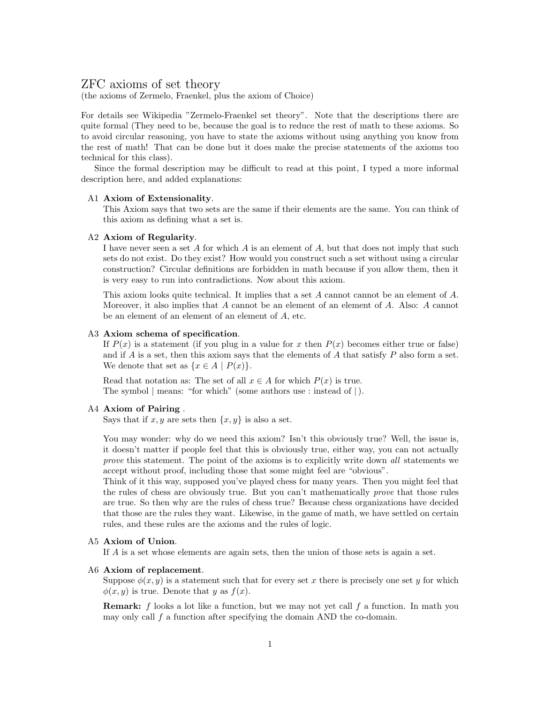# ZFC axioms of set theory

(the axioms of Zermelo, Fraenkel, plus the axiom of Choice)

For details see Wikipedia "Zermelo-Fraenkel set theory". Note that the descriptions there are quite formal (They need to be, because the goal is to reduce the rest of math to these axioms. So to avoid circular reasoning, you have to state the axioms without using anything you know from the rest of math! That can be done but it does make the precise statements of the axioms too technical for this class).

Since the formal description may be difficult to read at this point, I typed a more informal description here, and added explanations:

### A1 Axiom of Extensionality.

This Axiom says that two sets are the same if their elements are the same. You can think of this axiom as defining what a set is.

### A2 Axiom of Regularity.

I have never seen a set A for which A is an element of A, but that does not imply that such sets do not exist. Do they exist? How would you construct such a set without using a circular construction? Circular definitions are forbidden in math because if you allow them, then it is very easy to run into contradictions. Now about this axiom.

This axiom looks quite technical. It implies that a set A cannot cannot be an element of A. Moreover, it also implies that A cannot be an element of an element of A. Also: A cannot be an element of an element of an element of A, etc.

### A3 Axiom schema of specification.

If  $P(x)$  is a statement (if you plug in a value for x then  $P(x)$  becomes either true or false) and if  $A$  is a set, then this axiom says that the elements of  $A$  that satisfy  $P$  also form a set. We denote that set as  $\{x \in A \mid P(x)\}.$ 

Read that notation as: The set of all  $x \in A$  for which  $P(x)$  is true. The symbol | means: "for which" (some authors use : instead of |).

# A4 Axiom of Pairing .

Says that if  $x, y$  are sets then  $\{x, y\}$  is also a set.

You may wonder: why do we need this axiom? Isn't this obviously true? Well, the issue is, it doesn't matter if people feel that this is obviously true, either way, you can not actually prove this statement. The point of the axioms is to explicitly write down all statements we accept without proof, including those that some might feel are "obvious".

Think of it this way, supposed you've played chess for many years. Then you might feel that the rules of chess are obviously true. But you can't mathematically prove that those rules are true. So then why are the rules of chess true? Because chess organizations have decided that those are the rules they want. Likewise, in the game of math, we have settled on certain rules, and these rules are the axioms and the rules of logic.

# A5 Axiom of Union.

If A is a set whose elements are again sets, then the union of those sets is again a set.

### A6 Axiom of replacement.

Suppose  $\phi(x, y)$  is a statement such that for every set x there is precisely one set y for which  $\phi(x, y)$  is true. Denote that y as  $f(x)$ .

**Remark:** f looks a lot like a function, but we may not yet call f a function. In math you may only call  $f$  a function after specifying the domain AND the co-domain.